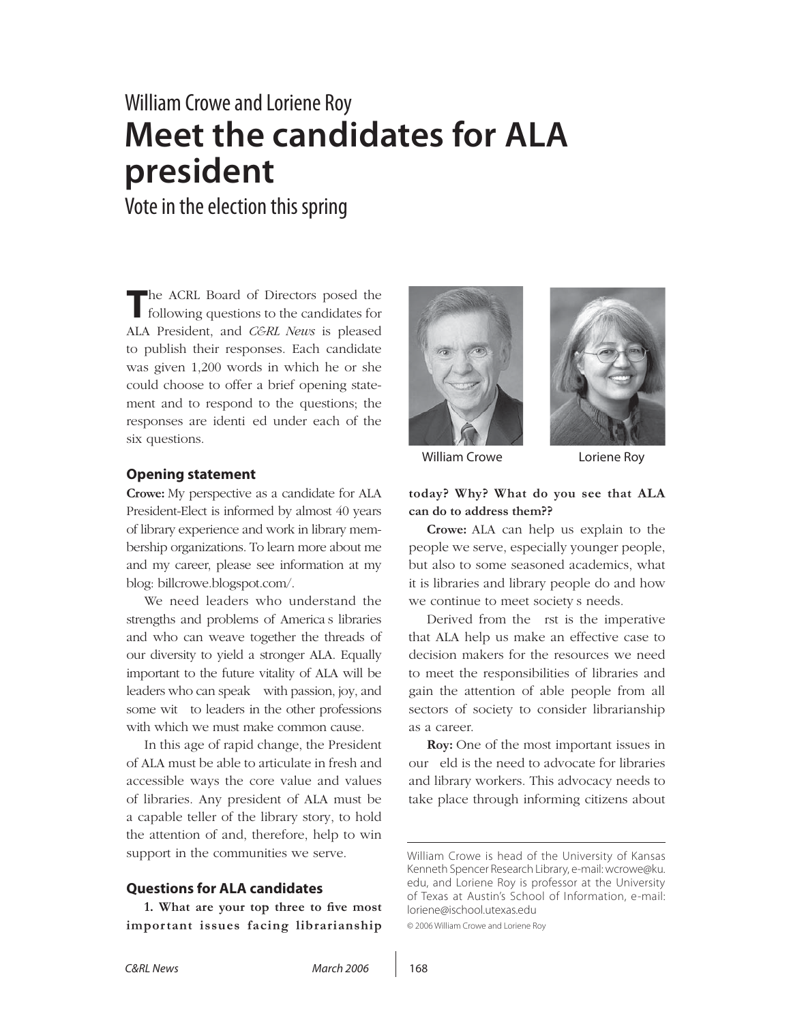# William Crowe and Loriene Roy **Meet the candidates for ALA president**

Vote in the election this spring

**T**he ACRL Board of Directors posed the following questions to the candidates for ALA President, and *C&RL News* is pleased to publish their responses. Each candidate was given 1,200 words in which he or she could choose to offer a brief opening statement and to respond to the questions; the responses are identi ed under each of the six questions.

#### **Opening statement**

**Crowe:** My perspective as a candidate for ALA President-Elect is informed by almost 40 years of library experience and work in library membership organizations. To learn more about me and my career, please see information at my blog: billcrowe.blogspot.com/.

We need leaders who understand the strengths and problems of America's libraries and who can weave together the threads of our diversity to yield a stronger ALA. Equally important to the future vitality of ALA will be leaders who can speak—with passion, joy, and some wit—to leaders in the other professions with which we must make common cause.

In this age of rapid change, the President of ALA must be able to articulate in fresh and accessible ways the core value and values of libraries. Any president of ALA must be a capable teller of the library story, to hold the attention of and, therefore, help to win support in the communities we serve.

#### **Questions for ALA candidates**

1. What are your top three to five most **important issues facing librarianship** 





William Crowe **Loriene Roy** 

#### **today? Why? What do you see that ALA can do to address them??**

**Crowe:** ALA can help us explain to the people we serve, especially younger people, but also to some seasoned academics, what it is libraries and library people do and how we continue to meet society s needs.

Derived from the rst is the imperative that ALA help us make an effective case to decision makers for the resources we need to meet the responsibilities of libraries and gain the attention of able people from all sectors of society to consider librarianship as a career.

**Roy:** One of the most important issues in our eld is the need to advocate for libraries and library workers. This advocacy needs to take place through informing citizens about

© 2006 William Crowe and Loriene Roy

William Crowe is head of the University of Kansas Kenneth Spencer Research Library, e-mail: wcrowe@ku. edu, and Loriene Roy is professor at the University of Texas at Austin's School of Information, e-mail: loriene@ischool.utexas.edu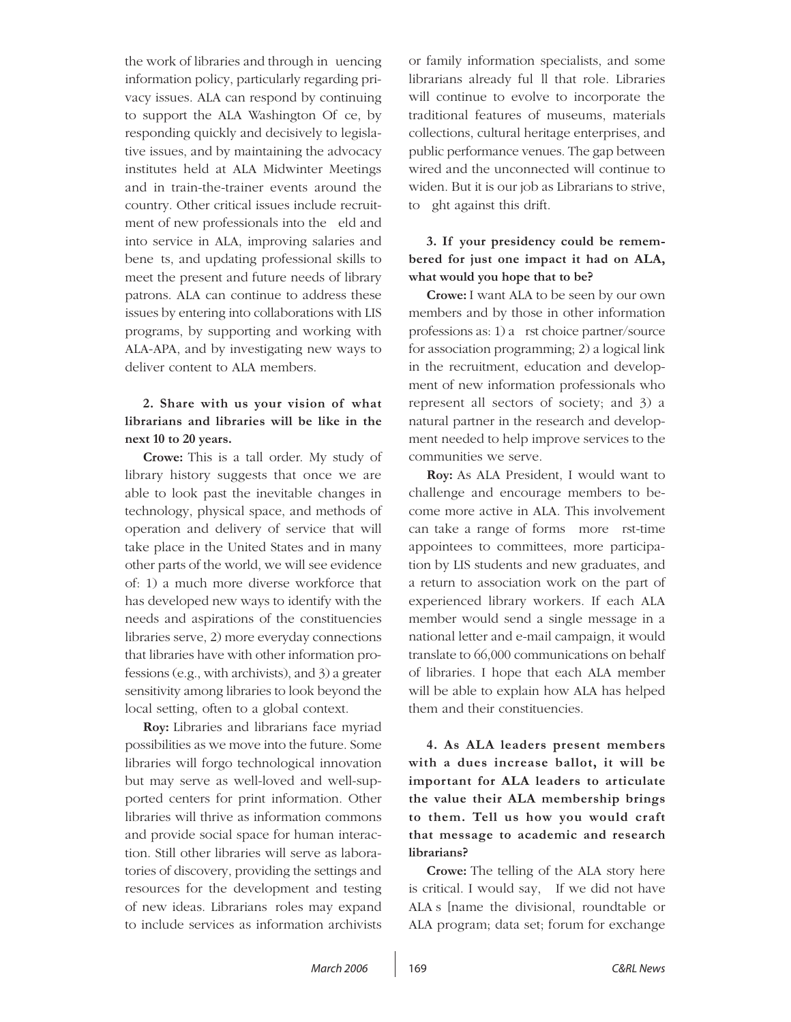the work of libraries and through in uencing information policy, particularly regarding privacy issues. ALA can respond by continuing to support the ALA Washington Of ce, by responding quickly and decisively to legislative issues, and by maintaining the advocacy institutes held at ALA Midwinter Meetings and in train-the-trainer events around the country. Other critical issues include recruitment of new professionals into the eld and into service in ALA, improving salaries and bene ts, and updating professional skills to meet the present and future needs of library patrons. ALA can continue to address these issues by entering into collaborations with LIS programs, by supporting and working with ALA-APA, and by investigating new ways to deliver content to ALA members.

## **2. Share with us your vision of what librarians and libraries will be like in the next 10 to 20 years.**

**Crowe:** This is a tall order. My study of library history suggests that once we are able to look past the inevitable changes in technology, physical space, and methods of operation and delivery of service that will take place in the United States and in many other parts of the world, we will see evidence of: 1) a much more diverse workforce that has developed new ways to identify with the needs and aspirations of the constituencies libraries serve, 2) more everyday connections that libraries have with other information professions (e.g., with archivists), and 3) a greater sensitivity among libraries to look beyond the local setting, often to a global context.

**Roy:** Libraries and librarians face myriad possibilities as we move into the future. Some libraries will forgo technological innovation but may serve as well-loved and well-supported centers for print information. Other libraries will thrive as information commons and provide social space for human interaction. Still other libraries will serve as laboratories of discovery, providing the settings and resources for the development and testing of new ideas. Librarians' roles may expand to include services as information archivists or family information specialists, and some librarians already ful II that role. Libraries will continue to evolve to incorporate the traditional features of museums, materials collections, cultural heritage enterprises, and public performance venues. The gap between wired and the unconnected will continue to widen. But it is our job as Librarians to strive, to ght against this drift.

# **3. If your presidency could be remembered for just one impact it had on ALA, what would you hope that to be?**

**Crowe:** I want ALA to be seen by our own members and by those in other information professions as:  $1$ ) a rst choice partner/source for association programming; 2) a logical link in the recruitment, education and development of new information professionals who represent all sectors of society; and 3) a natural partner in the research and development needed to help improve services to the communities we serve.

**Roy:** As ALA President, I would want to challenge and encourage members to become more active in ALA. This involvement can take a range of forms—more rst-time appointees to committees, more participation by LIS students and new graduates, and a return to association work on the part of experienced library workers. If each ALA member would send a single message in a national letter and e-mail campaign, it would translate to 66,000 communications on behalf of libraries. I hope that each ALA member will be able to explain how ALA has helped them and their constituencies.

**4. As ALA leaders present members with a dues increase ballot, it will be important for ALA leaders to articulate the value their ALA membership brings to them. Tell us how you would craft that message to academic and research librarians?** 

**Crowe:** The telling of the ALA story here is critical. I would say, If we did not have ALA's [name the divisional, roundtable or ALA program; data set; forum for exchange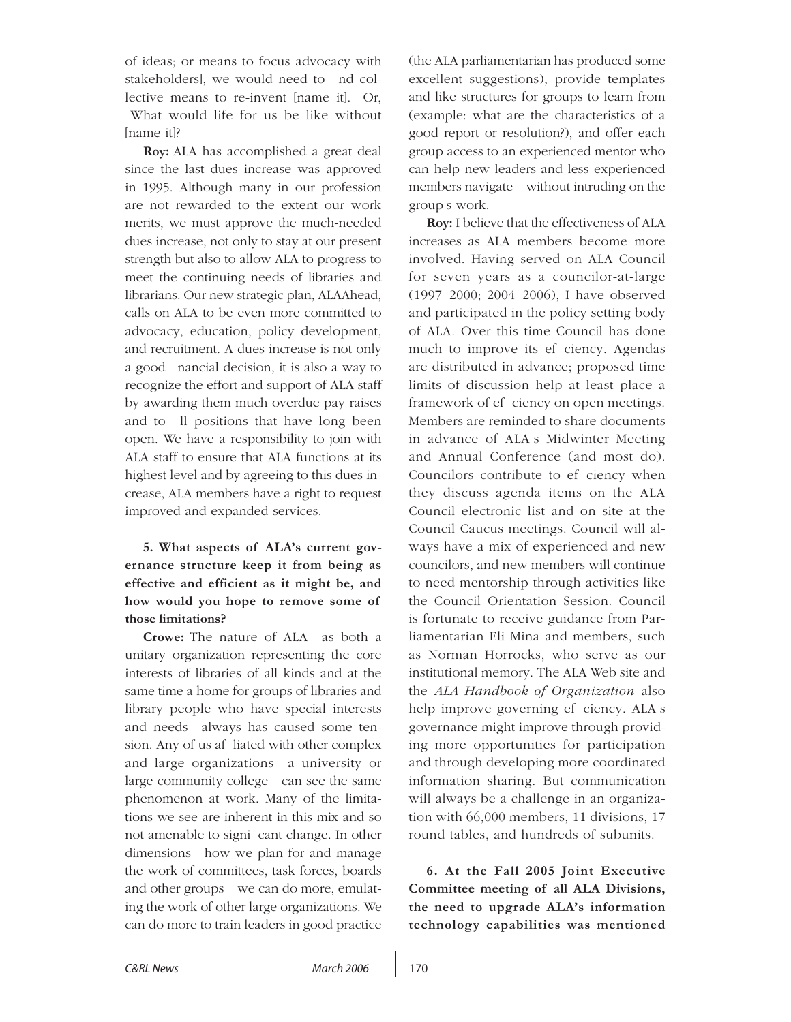of ideas; or means to focus advocacy with stakeholders], we would need to nd collective means to re-invent [name it]. Or, What would life for us be like without [name it]?

**Roy:** ALA has accomplished a great deal since the last dues increase was approved in 1995. Although many in our profession are not rewarded to the extent our work merits, we must approve the much-needed dues increase, not only to stay at our present strength but also to allow ALA to progress to meet the continuing needs of libraries and librarians. Our new strategic plan, ALAAhead, calls on ALA to be even more committed to advocacy, education, policy development, and recruitment. A dues increase is not only a good nancial decision, it is also a way to recognize the effort and support of ALA staff by awarding them much overdue pay raises and to Il positions that have long been open. We have a responsibility to join with ALA staff to ensure that ALA functions at its highest level and by agreeing to this dues increase, ALA members have a right to request improved and expanded services.

**5. What aspects of ALA's current governance structure keep it from being as effective and efficient as it might be, and how would you hope to remove some of those limitations?** 

**Crowe:** The nature of ALA—as both a unitary organization representing the core interests of libraries of all kinds and at the same time a home for groups of libraries and library people who have special interests and needs—always has caused some tension. Any of us af liated with other complex and large organizations—a university or large community college—can see the same phenomenon at work. Many of the limitations we see are inherent in this mix and so not amenable to signi cant change. In other dimensions—how we plan for and manage the work of committees, task forces, boards and other groups—we can do more, emulating the work of other large organizations. We can do more to train leaders in good practice

(the ALA parliamentarian has produced some excellent suggestions), provide templates and like structures for groups to learn from (example: what are the characteristics of a good report or resolution?), and offer each group access to an experienced mentor who can help new leaders and less experienced members navigate—without intruding on the group's work.

**Roy:** I believe that the effectiveness of ALA increases as ALA members become more involved. Having served on ALA Council for seven years as a councilor-at-large (1997–2000; 2004–2006), I have observed and participated in the policy setting body of ALA. Over this time Council has done much to improve its ef ciency. Agendas are distributed in advance; proposed time limits of discussion help at least place a framework of efeciency on open meetings. Members are reminded to share documents in advance of ALA<sub>s</sub> Midwinter Meeting and Annual Conference (and most do). Councilors contribute to ef ciency when they discuss agenda items on the ALA Council electronic list and on site at the Council Caucus meetings. Council will always have a mix of experienced and new councilors, and new members will continue to need mentorship through activities like the Council Orientation Session. Council is fortunate to receive guidance from Parliamentarian Eli Mina and members, such as Norman Horrocks, who serve as our institutional memory. The ALA Web site and the *ALA Handbook of Organization* also help improve governing ef ciency. ALA s governance might improve through providing more opportunities for participation and through developing more coordinated information sharing. But communication will always be a challenge in an organization with 66,000 members, 11 divisions, 17 round tables, and hundreds of subunits.

**6. At the Fall 2005 Joint Executive Committee meeting of all ALA Divisions, the need to upgrade ALA's information technology capabilities was mentioned**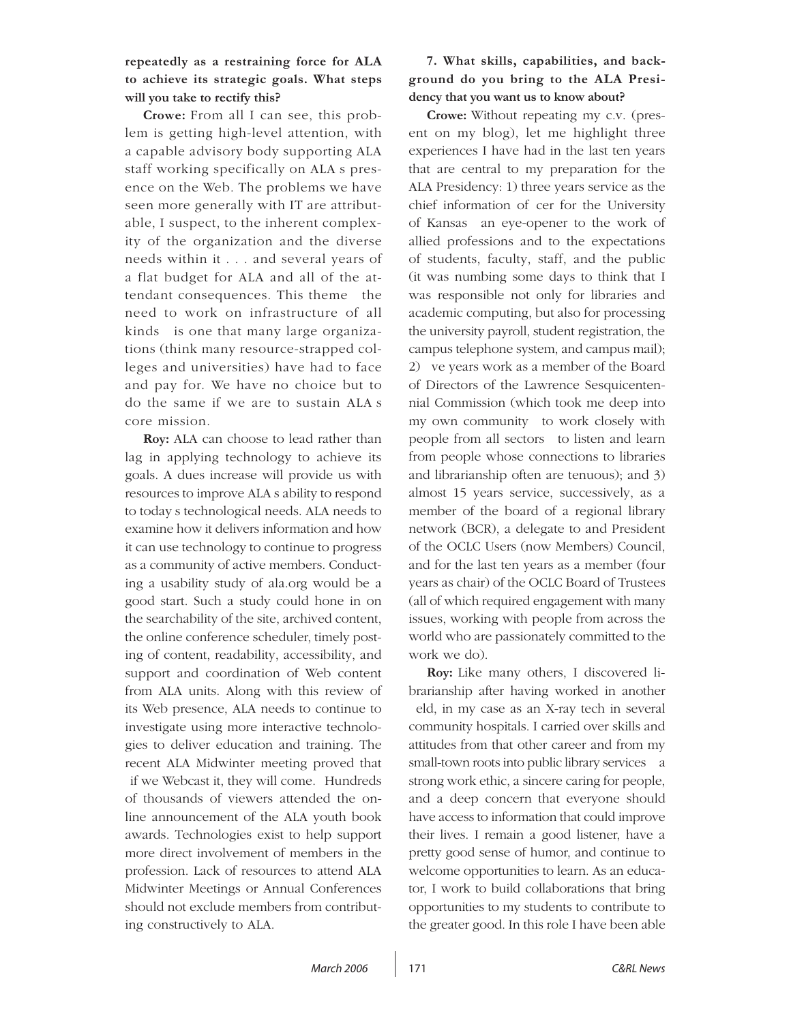## **repeatedly as a restraining force for ALA to achieve its strategic goals. What steps will you take to rectify this?**

**Crowe:** From all I can see, this problem is getting high-level attention, with a capable advisory body supporting ALA staff working specifically on ALA s presence on the Web. The problems we have seen more generally with IT are attributable, I suspect, to the inherent complexity of the organization and the diverse needs within it . . . and several years of a flat budget for ALA and all of the attendant consequences. This theme—the need to work on infrastructure of all kinds—is one that many large organizations (think many resource-strapped colleges and universities) have had to face and pay for. We have no choice but to do the same if we are to sustain ALA's core mission.

**Roy:** ALA can choose to lead rather than lag in applying technology to achieve its goals. A dues increase will provide us with resources to improve ALA's ability to respond to today's technological needs. ALA needs to examine how it delivers information and how it can use technology to continue to progress as a community of active members. Conducting a usability study of ala.org would be a good start. Such a study could hone in on the searchability of the site, archived content, the online conference scheduler, timely posting of content, readability, accessibility, and support and coordination of Web content from ALA units. Along with this review of its Web presence, ALA needs to continue to investigate using more interactive technologies to deliver education and training. The recent ALA Midwinter meeting proved that if we Webcast it, they will come. Hundreds of thousands of viewers attended the online announcement of the ALA youth book awards. Technologies exist to help support more direct involvement of members in the profession. Lack of resources to attend ALA Midwinter Meetings or Annual Conferences should not exclude members from contributing constructively to ALA.

## **7. What skills, capabilities, and background do you bring to the ALA Presidency that you want us to know about?**

**Crowe:** Without repeating my c.v. (present on my blog), let me highlight three experiences I have had in the last ten years that are central to my preparation for the ALA Presidency: 1) three years service as the chief information of cer for the University of Kansas—an eyeopener to the work of allied professions and to the expectations of students, faculty, staff, and the public (it was numbing some days to think that I was responsible not only for libraries and academic computing, but also for processing the university payroll, student registration, the campus telephone system, and campus mail); 2) ve years work as a member of the Board of Directors of the Lawrence Sesquicentennial Commission (which took me deep into my own community—to work closely with people from all sectors—to listen and learn from people whose connections to libraries and librarianship often are tenuous); and 3) almost 15 years service, successively, as a member of the board of a regional library network (BCR), a delegate to and President of the OCLC Users (now Members) Council, and for the last ten years as a member (four years as chair) of the OCLC Board of Trustees (all of which required engagement with many issues, working with people from across the world who are passionately committed to the work we do).

**Roy:** Like many others, I discovered librarianship after having worked in another eld, in my case as an X-ray tech in several community hospitals. I carried over skills and attitudes from that other career and from my small-town roots into public library services a strong work ethic, a sincere caring for people, and a deep concern that everyone should have access to information that could improve their lives. I remain a good listener, have a pretty good sense of humor, and continue to welcome opportunities to learn. As an educator, I work to build collaborations that bring opportunities to my students to contribute to the greater good. In this role I have been able